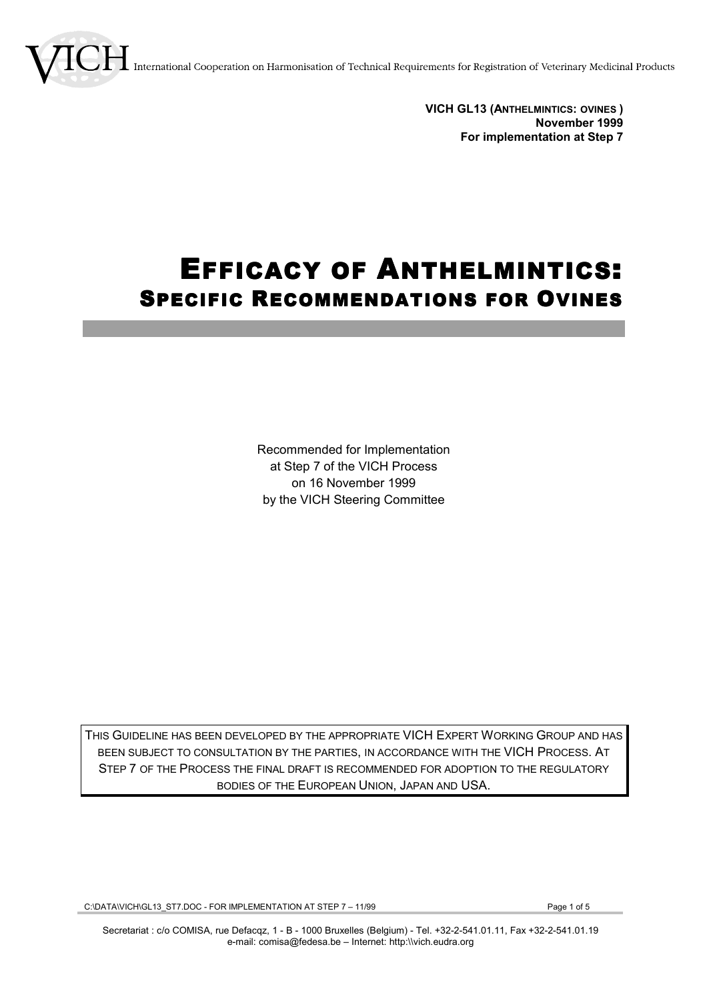International Cooperation on Harmonisation of Technical Requirements for Registration of Veterinary Medicinal Products

**VICH GL13 (ANTHELMINTICS: OVINES ) November 1999 For implementation at Step 7**

# EFFICACY OF ANTHELMINTICS: SPECIFIC RECOMMENDATIONS FOR OVINES

Recommended for Implementation at Step 7 of the VICH Process on 16 November 1999 by the VICH Steering Committee

THIS GUIDELINE HAS BEEN DEVELOPED BY THE APPROPRIATE VICH EXPERT WORKING GROUP AND HAS BEEN SUBJECT TO CONSULTATION BY THE PARTIES, IN ACCORDANCE WITH THE VICH PROCESS. AT STEP 7 OF THE PROCESS THE FINAL DRAFT IS RECOMMENDED FOR ADOPTION TO THE REGULATORY BODIES OF THE EUROPEAN UNION, JAPAN AND USA.

C:\DATA\VICH\GL13\_ST7.DOC - FOR IMPLEMENTATION AT STEP 7 - 11/99 Page 1 of 5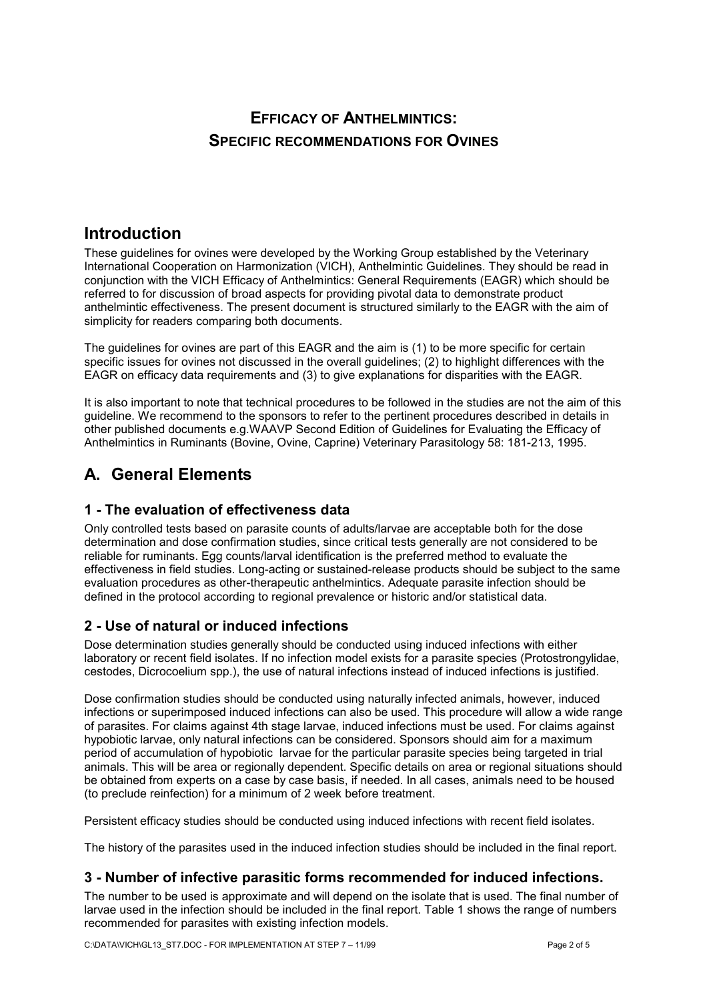# **EFFICACY OF ANTHELMINTICS: SPECIFIC RECOMMENDATIONS FOR OVINES**

# **Introduction**

These guidelines for ovines were developed by the Working Group established by the Veterinary International Cooperation on Harmonization (VICH), Anthelmintic Guidelines. They should be read in conjunction with the VICH Efficacy of Anthelmintics: General Requirements (EAGR) which should be referred to for discussion of broad aspects for providing pivotal data to demonstrate product anthelmintic effectiveness. The present document is structured similarly to the EAGR with the aim of simplicity for readers comparing both documents.

The guidelines for ovines are part of this EAGR and the aim is (1) to be more specific for certain specific issues for ovines not discussed in the overall guidelines; (2) to highlight differences with the EAGR on efficacy data requirements and (3) to give explanations for disparities with the EAGR.

It is also important to note that technical procedures to be followed in the studies are not the aim of this guideline. We recommend to the sponsors to refer to the pertinent procedures described in details in other published documents e.g.WAAVP Second Edition of Guidelines for Evaluating the Efficacy of Anthelmintics in Ruminants (Bovine, Ovine, Caprine) Veterinary Parasitology 58: 181-213, 1995.

# **A. General Elements**

# **1 - The evaluation of effectiveness data**

Only controlled tests based on parasite counts of adults/larvae are acceptable both for the dose determination and dose confirmation studies, since critical tests generally are not considered to be reliable for ruminants. Egg counts/larval identification is the preferred method to evaluate the effectiveness in field studies. Long-acting or sustained-release products should be subject to the same evaluation procedures as other-therapeutic anthelmintics. Adequate parasite infection should be defined in the protocol according to regional prevalence or historic and/or statistical data.

# **2 - Use of natural or induced infections**

Dose determination studies generally should be conducted using induced infections with either laboratory or recent field isolates. If no infection model exists for a parasite species (Protostrongylidae, cestodes, Dicrocoelium spp.), the use of natural infections instead of induced infections is justified.

Dose confirmation studies should be conducted using naturally infected animals, however, induced infections or superimposed induced infections can also be used. This procedure will allow a wide range of parasites. For claims against 4th stage larvae, induced infections must be used. For claims against hypobiotic larvae, only natural infections can be considered. Sponsors should aim for a maximum period of accumulation of hypobiotic larvae for the particular parasite species being targeted in trial animals. This will be area or regionally dependent. Specific details on area or regional situations should be obtained from experts on a case by case basis, if needed. In all cases, animals need to be housed (to preclude reinfection) for a minimum of 2 week before treatment.

Persistent efficacy studies should be conducted using induced infections with recent field isolates.

The history of the parasites used in the induced infection studies should be included in the final report.

#### **3 - Number of infective parasitic forms recommended for induced infections.**

The number to be used is approximate and will depend on the isolate that is used. The final number of larvae used in the infection should be included in the final report. Table 1 shows the range of numbers recommended for parasites with existing infection models.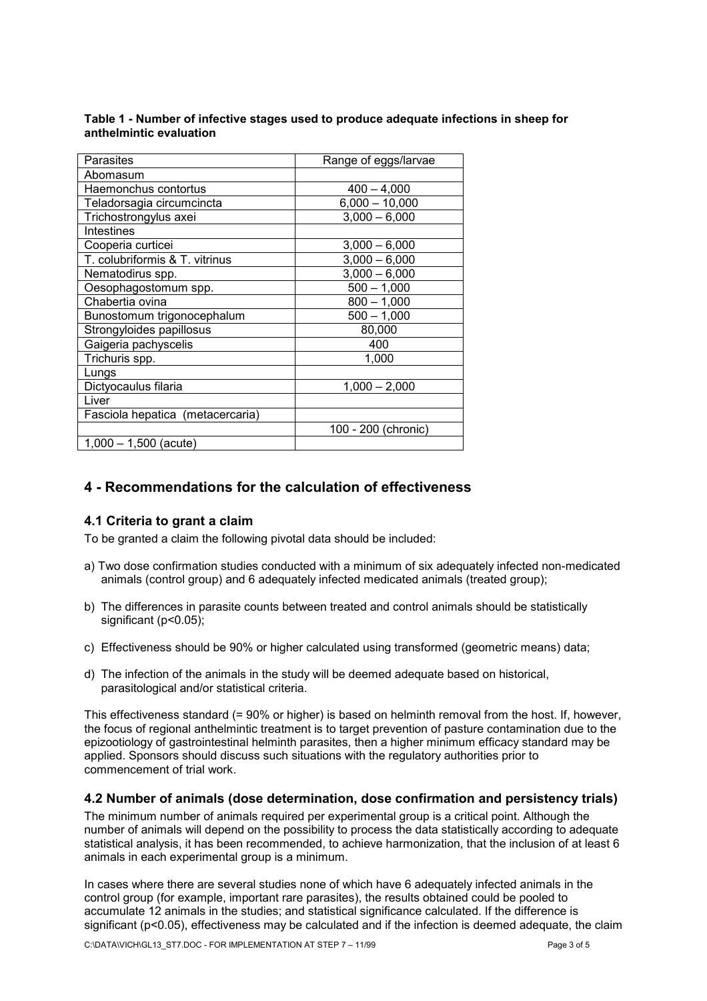| Table 1 - Number of infective stages used to produce adequate infections in sheep for |  |
|---------------------------------------------------------------------------------------|--|
| anthelmintic evaluation                                                               |  |

| Parasites                        | Range of eggs/larvae |
|----------------------------------|----------------------|
| Abomasum                         |                      |
| Haemonchus contortus             | $400 - 4,000$        |
| Teladorsagia circumcincta        | $6,000 - 10,000$     |
| Trichostrongylus axei            | $3,000 - 6,000$      |
| Intestines                       |                      |
| Cooperia curticei                | $3,000 - 6,000$      |
| T. colubriformis & T. vitrinus   | $3,000 - 6,000$      |
| Nematodirus spp.                 | $3,000 - 6,000$      |
| Oesophagostomum spp.             | $500 - 1,000$        |
| Chabertia ovina                  | $800 - 1,000$        |
| Bunostomum trigonocephalum       | $500 - 1,000$        |
| Strongyloides papillosus         | 80,000               |
| Gaigeria pachyscelis             | 400                  |
| Trichuris spp.                   | 1,000                |
| Lungs                            |                      |
| Dictyocaulus filaria             | $1,000 - 2,000$      |
| Liver                            |                      |
| Fasciola hepatica (metacercaria) |                      |
|                                  | 100 - 200 (chronic)  |
| 1,000 - 1,500 (acute)            |                      |

### **4 - Recommendations for the calculation of effectiveness**

#### **4.1 Criteria to grant a claim**

To be granted a claim the following pivotal data should be included:

- a) Two dose confirmation studies conducted with a minimum of six adequately infected non-medicated animals (control group) and 6 adequately infected medicated animals (treated group);
- b) The differences in parasite counts between treated and control animals should be statistically significant (p<0.05);
- c) Effectiveness should be 90% or higher calculated using transformed (geometric means) data;
- d) The infection of the animals in the study will be deemed adequate based on historical, parasitological and/or statistical criteria.

This effectiveness standard (= 90% or higher) is based on helminth removal from the host. If, however, the focus of regional anthelmintic treatment is to target prevention of pasture contamination due to the epizootiology of gastrointestinal helminth parasites, then a higher minimum efficacy standard may be applied. Sponsors should discuss such situations with the regulatory authorities prior to commencement of trial work.

#### **4.2 Number of animals (dose determination, dose confirmation and persistency trials)**

The minimum number of animals required per experimental group is a critical point. Although the number of animals will depend on the possibility to process the data statistically according to adequate statistical analysis, it has been recommended, to achieve harmonization, that the inclusion of at least 6 animals in each experimental group is a minimum.

In cases where there are several studies none of which have 6 adequately infected animals in the control group (for example, important rare parasites), the results obtained could be pooled to accumulate 12 animals in the studies; and statistical significance calculated. If the difference is significant (p<0.05), effectiveness may be calculated and if the infection is deemed adequate, the claim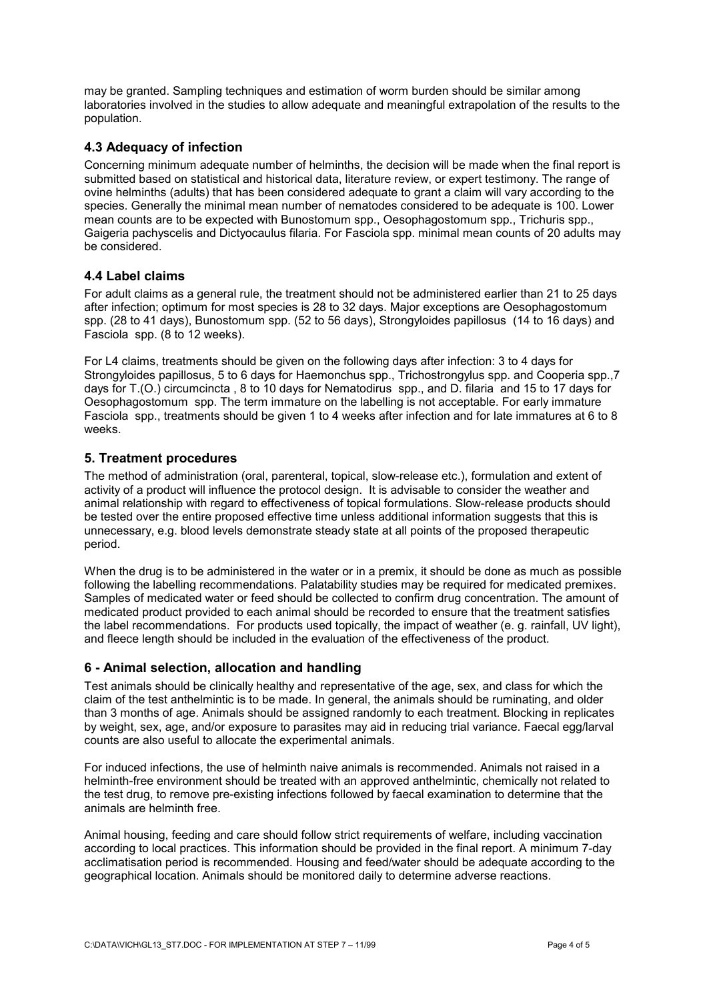may be granted. Sampling techniques and estimation of worm burden should be similar among laboratories involved in the studies to allow adequate and meaningful extrapolation of the results to the population.

#### **4.3 Adequacy of infection**

Concerning minimum adequate number of helminths, the decision will be made when the final report is submitted based on statistical and historical data, literature review, or expert testimony. The range of ovine helminths (adults) that has been considered adequate to grant a claim will vary according to the species. Generally the minimal mean number of nematodes considered to be adequate is 100. Lower mean counts are to be expected with Bunostomum spp., Oesophagostomum spp., Trichuris spp., Gaigeria pachyscelis and Dictyocaulus filaria. For Fasciola spp. minimal mean counts of 20 adults may be considered.

#### **4.4 Label claims**

For adult claims as a general rule, the treatment should not be administered earlier than 21 to 25 days after infection; optimum for most species is 28 to 32 days. Major exceptions are Oesophagostomum spp. (28 to 41 days), Bunostomum spp. (52 to 56 days), Strongyloides papillosus (14 to 16 days) and Fasciola spp. (8 to 12 weeks).

For L4 claims, treatments should be given on the following days after infection: 3 to 4 days for Strongyloides papillosus, 5 to 6 days for Haemonchus spp., Trichostrongylus spp. and Cooperia spp.,7 days for T.(O.) circumcincta , 8 to 10 days for Nematodirus spp., and D. filaria and 15 to 17 days for Oesophagostomum spp. The term immature on the labelling is not acceptable. For early immature Fasciola spp., treatments should be given 1 to 4 weeks after infection and for late immatures at 6 to 8 weeks.

#### **5. Treatment procedures**

The method of administration (oral, parenteral, topical, slow-release etc.), formulation and extent of activity of a product will influence the protocol design. It is advisable to consider the weather and animal relationship with regard to effectiveness of topical formulations. Slow-release products should be tested over the entire proposed effective time unless additional information suggests that this is unnecessary, e.g. blood levels demonstrate steady state at all points of the proposed therapeutic period.

When the drug is to be administered in the water or in a premix, it should be done as much as possible following the labelling recommendations. Palatability studies may be required for medicated premixes. Samples of medicated water or feed should be collected to confirm drug concentration. The amount of medicated product provided to each animal should be recorded to ensure that the treatment satisfies the label recommendations. For products used topically, the impact of weather (e. g. rainfall, UV light), and fleece length should be included in the evaluation of the effectiveness of the product.

#### **6 - Animal selection, allocation and handling**

Test animals should be clinically healthy and representative of the age, sex, and class for which the claim of the test anthelmintic is to be made. In general, the animals should be ruminating, and older than 3 months of age. Animals should be assigned randomly to each treatment. Blocking in replicates by weight, sex, age, and/or exposure to parasites may aid in reducing trial variance. Faecal egg/larval counts are also useful to allocate the experimental animals.

For induced infections, the use of helminth naive animals is recommended. Animals not raised in a helminth-free environment should be treated with an approved anthelmintic, chemically not related to the test drug, to remove pre-existing infections followed by faecal examination to determine that the animals are helminth free.

Animal housing, feeding and care should follow strict requirements of welfare, including vaccination according to local practices. This information should be provided in the final report. A minimum 7-day acclimatisation period is recommended. Housing and feed/water should be adequate according to the geographical location. Animals should be monitored daily to determine adverse reactions.